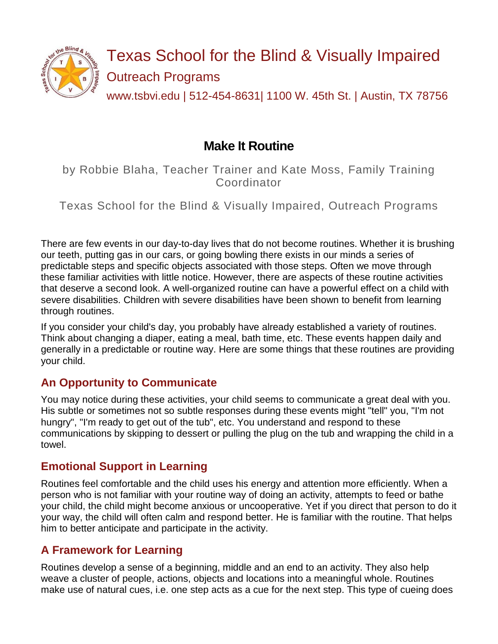

# **Make It Routine**

by Robbie Blaha, Teacher Trainer and Kate Moss, Family Training Coordinator

Texas School for the Blind & Visually Impaired, Outreach Programs

There are few events in our day-to-day lives that do not become routines. Whether it is brushing our teeth, putting gas in our cars, or going bowling there exists in our minds a series of predictable steps and specific objects associated with those steps. Often we move through these familiar activities with little notice. However, there are aspects of these routine activities that deserve a second look. A well-organized routine can have a powerful effect on a child with severe disabilities. Children with severe disabilities have been shown to benefit from learning through routines.

If you consider your child's day, you probably have already established a variety of routines. Think about changing a diaper, eating a meal, bath time, etc. These events happen daily and generally in a predictable or routine way. Here are some things that these routines are providing your child.

#### **An Opportunity to Communicate**

You may notice during these activities, your child seems to communicate a great deal with you. His subtle or sometimes not so subtle responses during these events might "tell" you, "I'm not hungry", "I'm ready to get out of the tub", etc. You understand and respond to these communications by skipping to dessert or pulling the plug on the tub and wrapping the child in a towel.

#### **Emotional Support in Learning**

Routines feel comfortable and the child uses his energy and attention more efficiently. When a person who is not familiar with your routine way of doing an activity, attempts to feed or bathe your child, the child might become anxious or uncooperative. Yet if you direct that person to do it your way, the child will often calm and respond better. He is familiar with the routine. That helps him to better anticipate and participate in the activity.

#### **A Framework for Learning**

Routines develop a sense of a beginning, middle and an end to an activity. They also help weave a cluster of people, actions, objects and locations into a meaningful whole. Routines make use of natural cues, i.e. one step acts as a cue for the next step. This type of cueing does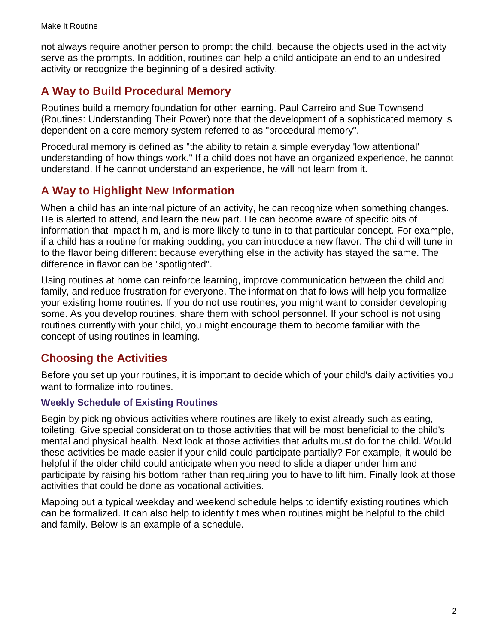not always require another person to prompt the child, because the objects used in the activity serve as the prompts. In addition, routines can help a child anticipate an end to an undesired activity or recognize the beginning of a desired activity.

## **A Way to Build Procedural Memory**

Routines build a memory foundation for other learning. Paul Carreiro and Sue Townsend (Routines: Understanding Their Power) note that the development of a sophisticated memory is dependent on a core memory system referred to as "procedural memory".

Procedural memory is defined as "the ability to retain a simple everyday 'low attentional' understanding of how things work." If a child does not have an organized experience, he cannot understand. If he cannot understand an experience, he will not learn from it.

### **A Way to Highlight New Information**

When a child has an internal picture of an activity, he can recognize when something changes. He is alerted to attend, and learn the new part. He can become aware of specific bits of information that impact him, and is more likely to tune in to that particular concept. For example, if a child has a routine for making pudding, you can introduce a new flavor. The child will tune in to the flavor being different because everything else in the activity has stayed the same. The difference in flavor can be "spotlighted".

Using routines at home can reinforce learning, improve communication between the child and family, and reduce frustration for everyone. The information that follows will help you formalize your existing home routines. If you do not use routines, you might want to consider developing some. As you develop routines, share them with school personnel. If your school is not using routines currently with your child, you might encourage them to become familiar with the concept of using routines in learning.

#### **Choosing the Activities**

Before you set up your routines, it is important to decide which of your child's daily activities you want to formalize into routines.

#### **Weekly Schedule of Existing Routines**

Begin by picking obvious activities where routines are likely to exist already such as eating, toileting. Give special consideration to those activities that will be most beneficial to the child's mental and physical health. Next look at those activities that adults must do for the child. Would these activities be made easier if your child could participate partially? For example, it would be helpful if the older child could anticipate when you need to slide a diaper under him and participate by raising his bottom rather than requiring you to have to lift him. Finally look at those activities that could be done as vocational activities.

Mapping out a typical weekday and weekend schedule helps to identify existing routines which can be formalized. It can also help to identify times when routines might be helpful to the child and family. Below is an example of a schedule.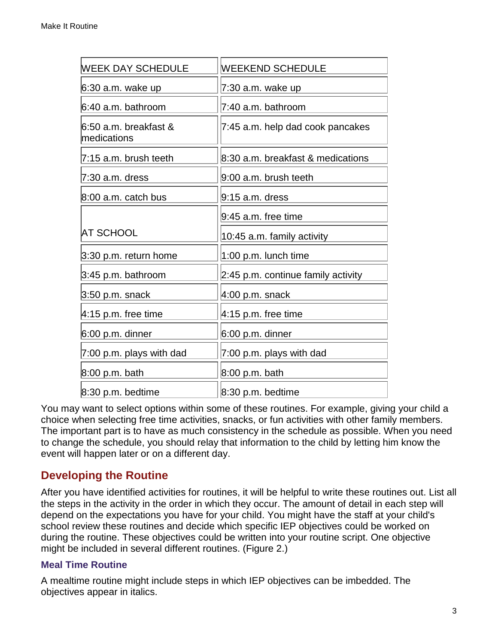| <b>WEEK DAY SCHEDULE</b>             | <b>WEEKEND SCHEDULE</b>            |
|--------------------------------------|------------------------------------|
| 6:30 a.m. wake up                    | 7:30 a.m. wake up                  |
| 6:40 a.m. bathroom                   | 7:40 a.m. bathroom                 |
| 6:50 a.m. breakfast &<br>medications | 7:45 a.m. help dad cook pancakes   |
| 7:15 a.m. brush teeth                | 8:30 a.m. breakfast & medications  |
| 7:30 a.m. dress                      | 9:00 a.m. brush teeth              |
| $8:00$ a.m. catch bus                | 9:15 a.m. dress                    |
|                                      | 9:45 a.m. free time                |
| <b>AT SCHOOL</b>                     | 10:45 a.m. family activity         |
| $3:30$ p.m. return home              | 1:00 p.m. lunch time               |
| $3:45$ p.m. bathroom                 | 2:45 p.m. continue family activity |
| $3:50$ p.m. snack                    | $4:00$ p.m. snack                  |
| $4:15$ p.m. free time                | $4:15$ p.m. free time              |
| $6:00$ p.m. dinner                   | $6:00$ p.m. dinner                 |
| $7:00$ p.m. plays with dad           | 7:00 p.m. plays with dad           |
| 8:00 p.m. bath                       | 8:00 p.m. bath                     |
| $8:30$ p.m. bedtime                  | 8:30 p.m. bedtime                  |

You may want to select options within some of these routines. For example, giving your child a choice when selecting free time activities, snacks, or fun activities with other family members. The important part is to have as much consistency in the schedule as possible. When you need to change the schedule, you should relay that information to the child by letting him know the event will happen later or on a different day.

#### **Developing the Routine**

After you have identified activities for routines, it will be helpful to write these routines out. List all the steps in the activity in the order in which they occur. The amount of detail in each step will depend on the expectations you have for your child. You might have the staff at your child's school review these routines and decide which specific IEP objectives could be worked on during the routine. These objectives could be written into your routine script. One objective might be included in several different routines. (Figure 2.)

#### **Meal Time Routine**

A mealtime routine might include steps in which IEP objectives can be imbedded. The objectives appear in italics.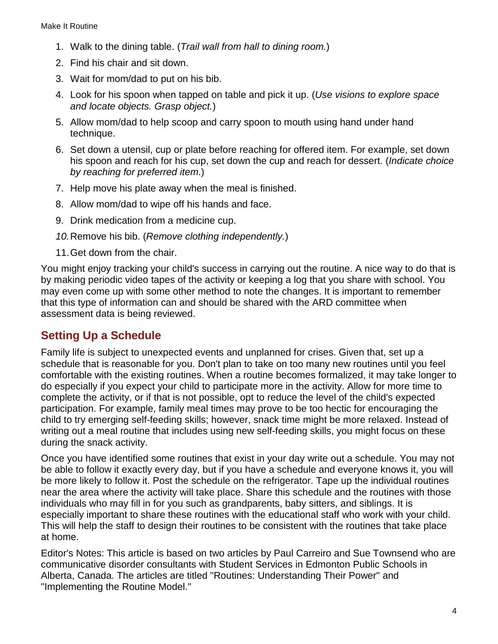- 1. Walk to the dining table. (*Trail wall from hall to dining room.*)
- 2. Find his chair and sit down.
- 3. Wait for mom/dad to put on his bib.
- 4. Look for his spoon when tapped on table and pick it up. (*Use visions to explore space and locate objects. Grasp object.*)
- 5. Allow mom/dad to help scoop and carry spoon to mouth using hand under hand technique.
- 6. Set down a utensil, cup or plate before reaching for offered item. For example, set down his spoon and reach for his cup, set down the cup and reach for dessert. (*Indicate choice by reaching for preferred item*.)
- 7. Help move his plate away when the meal is finished.
- 8. Allow mom/dad to wipe off his hands and face.
- 9. Drink medication from a medicine cup.
- *10.*Remove his bib. (*Remove clothing independently.*)
- 11.Get down from the chair.

You might enjoy tracking your child's success in carrying out the routine. A nice way to do that is by making periodic video tapes of the activity or keeping a log that you share with school. You may even come up with some other method to note the changes. It is important to remember that this type of information can and should be shared with the ARD committee when assessment data is being reviewed.

#### **Setting Up a Schedule**

Family life is subject to unexpected events and unplanned for crises. Given that, set up a schedule that is reasonable for you. Don't plan to take on too many new routines until you feel comfortable with the existing routines. When a routine becomes formalized, it may take longer to do especially if you expect your child to participate more in the activity. Allow for more time to complete the activity, or if that is not possible, opt to reduce the level of the child's expected participation. For example, family meal times may prove to be too hectic for encouraging the child to try emerging self-feeding skills; however, snack time might be more relaxed. Instead of writing out a meal routine that includes using new self-feeding skills, you might focus on these during the snack activity.

Once you have identified some routines that exist in your day write out a schedule. You may not be able to follow it exactly every day, but if you have a schedule and everyone knows it, you will be more likely to follow it. Post the schedule on the refrigerator. Tape up the individual routines near the area where the activity will take place. Share this schedule and the routines with those individuals who may fill in for you such as grandparents, baby sitters, and siblings. It is especially important to share these routines with the educational staff who work with your child. This will help the staff to design their routines to be consistent with the routines that take place at home.

Editor's Notes: This article is based on two articles by Paul Carreiro and Sue Townsend who are communicative disorder consultants with Student Services in Edmonton Public Schools in Alberta, Canada. The articles are titled "Routines: Understanding Their Power" and "Implementing the Routine Model."